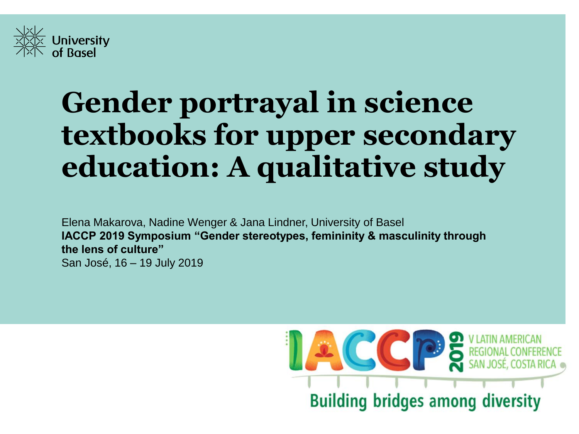

# **Gender portrayal in science textbooks for upper secondary education: A qualitative study**

Elena Makarova, Nadine Wenger & Jana Lindner, University of Basel **IACCP 2019 Symposium "Gender stereotypes, femininity & masculinity through the lens of culture"** San José, 16 – 19 July 2019

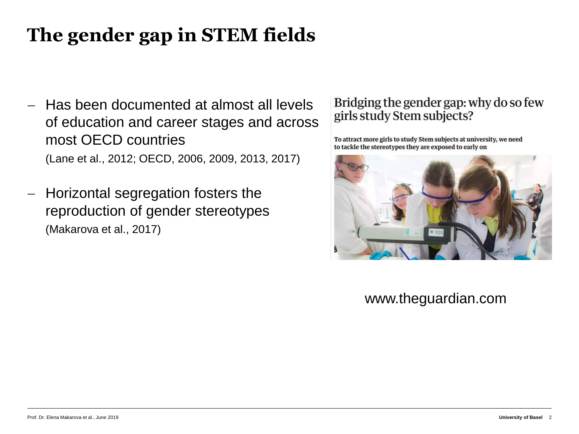# **The gender gap in STEM fields**

- − Has been documented at almost all levels of education and career stages and across most OECD countries (Lane et al., 2012; OECD, 2006, 2009, 2013, 2017)
- − Horizontal segregation fosters the reproduction of gender stereotypes (Makarova et al., 2017)

#### Bridging the gender gap: why do so few girls study Stem subjects?

To attract more girls to study Stem subjects at university, we need to tackle the stereotypes they are exposed to early on



#### www.theguardian.com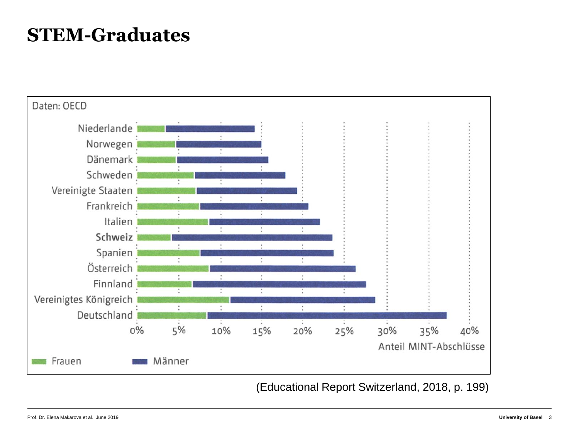## **STEM-Graduates**



Prof. Dr. Elena Makarova et al., June 2019 **University of Basel** 3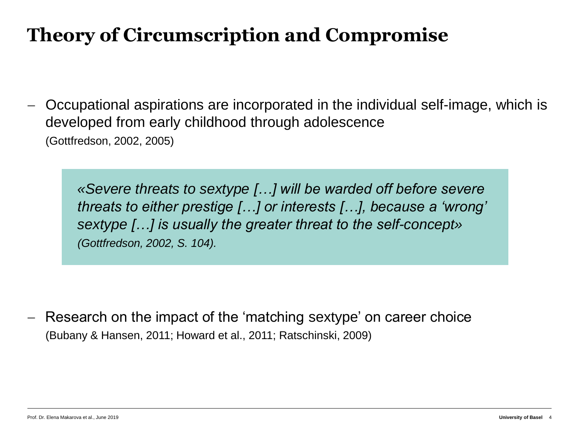# **Theory of Circumscription and Compromise**

− Occupational aspirations are incorporated in the individual self-image, which is developed from early childhood through adolescence (Gottfredson, 2002, 2005)

*«Severe threats to sextype […] will be warded off before severe threats to either prestige […] or interests […], because a 'wrong' sextype […] is usually the greater threat to the self-concept» (Gottfredson, 2002, S. 104).*

Research on the impact of the 'matching sextype' on career choice (Bubany & Hansen, 2011; Howard et al., 2011; Ratschinski, 2009)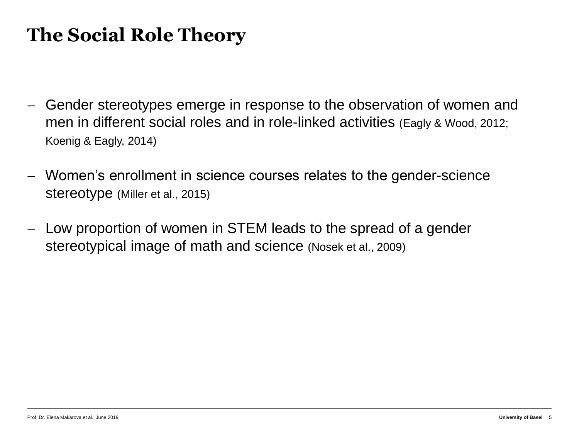## **The Social Role Theory**

- − Gender stereotypes emerge in response to the observation of women and men in different social roles and in role-linked activities (Eagly & Wood, 2012; Koenig & Eagly, 2014)
- − Women's enrollment in science courses relates to the gender-science stereotype (Miller et al., 2015)
- − Low proportion of women in STEM leads to the spread of a gender stereotypical image of math and science (Nosek et al., 2009)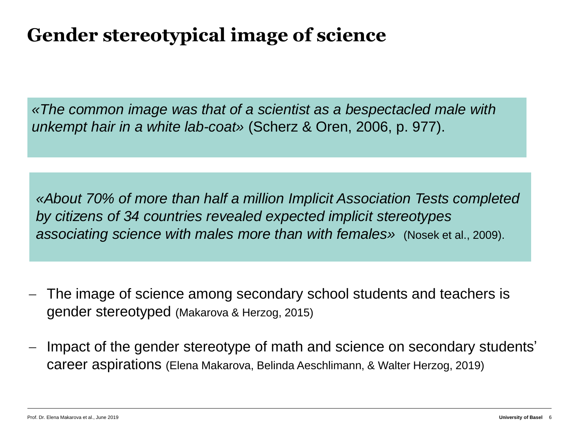### **Gender stereotypical image of science**

*«The common image was that of a scientist as a bespectacled male with unkempt hair in a white lab-coat»* (Scherz & Oren, 2006, p. 977).

*«About 70% of more than half a million Implicit Association Tests completed by citizens of 34 countries revealed expected implicit stereotypes associating science with males more than with females»* (Nosek et al., 2009).

- − The image of science among secondary school students and teachers is gender stereotyped (Makarova & Herzog, 2015)
- Impact of the gender stereotype of math and science on secondary students' career aspirations (Elena Makarova, Belinda Aeschlimann, & Walter Herzog, 2019)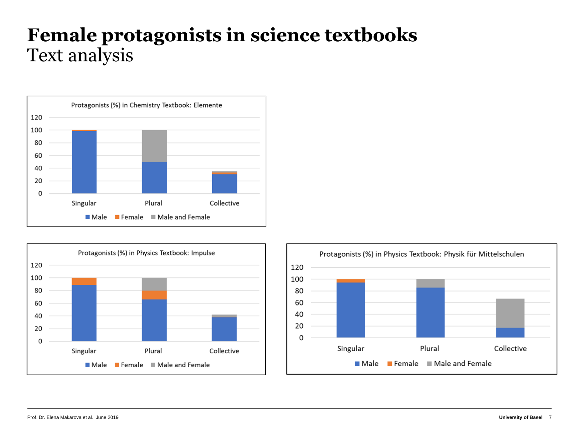### **Female protagonists in science textbooks** Text analysis





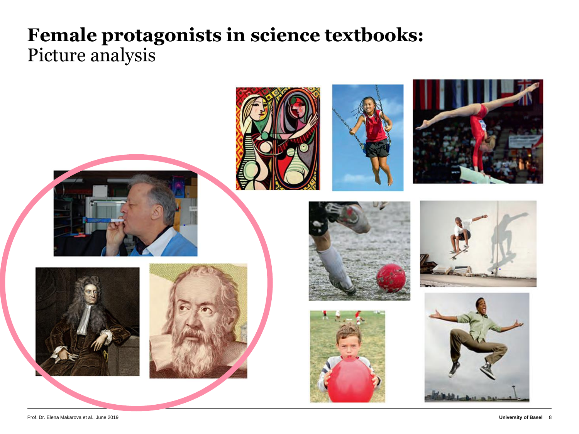### **Female protagonists in science textbooks:**  Picture analysis

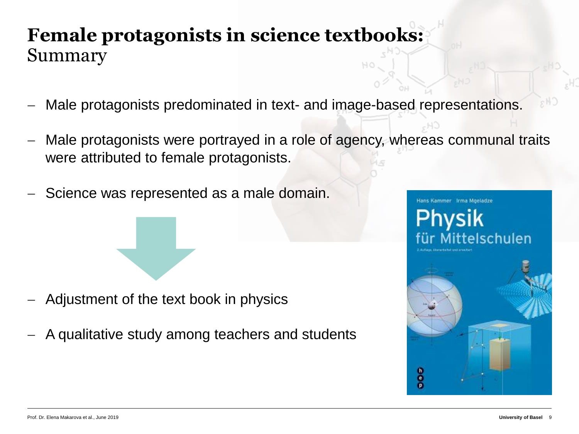### **Female protagonists in science textbooks:**  Summary

- Male protagonists predominated in text- and image-based representations.
- Male protagonists were portrayed in a role of agency, whereas communal traits were attributed to female protagonists.
- Science was represented as a male domain.

- − Adjustment of the text book in physics
- − A qualitative study among teachers and students

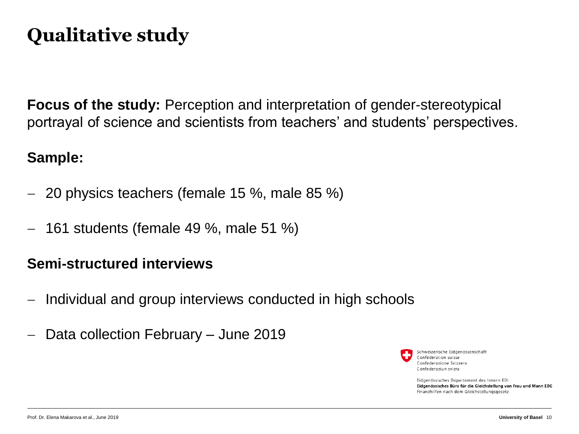# **Qualitative study**

**Focus of the study:** Perception and interpretation of gender-stereotypical portrayal of science and scientists from teachers' and students' perspectives.

#### **Sample:**

- − 20 physics teachers (female 15 %, male 85 %)
- − 161 students (female 49 %, male 51 %)

#### **Semi-structured interviews**

- − Individual and group interviews conducted in high schools
- − Data collection February June 2019



Schweizerische Eidgenossenschaft Confédération suisse Confederazione Svizzera Confederaziun svizra

Eidgenössisches Departement des Innern EDI Eidgenössisches Büro für die Gleichstellung von Frau und Mann EBG Finanzhilfen nach dem Gleichstellungsgesetz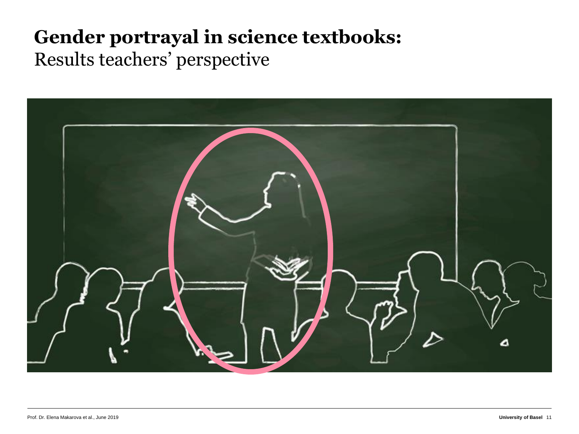## **Gender portrayal in science textbooks:**  Results teachers' perspective

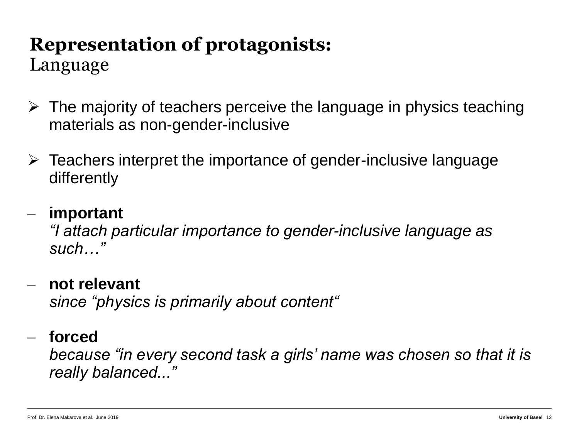Language

- $\triangleright$  The majority of teachers perceive the language in physics teaching materials as non-gender-inclusive
- ➢ Teachers interpret the importance of gender-inclusive language differently

### − **important**

*"I attach particular importance to gender-inclusive language as such…"*

#### − **not relevant**

*since "physics is primarily about content"*

### − **forced**

*because "in every second task a girls' name was chosen so that it is really balanced..."*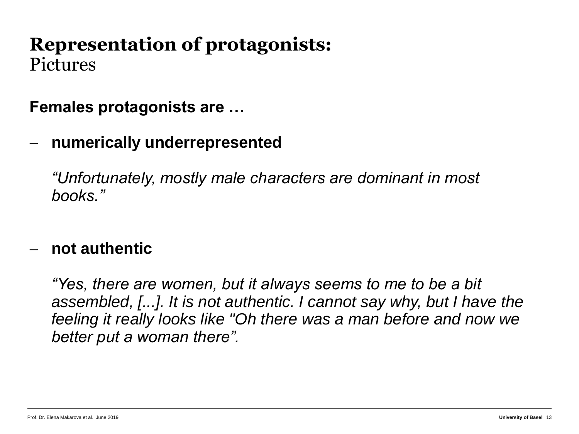### **Representation of protagonists:**  Pictures

**Females protagonists are …**

− **numerically underrepresented**

*"Unfortunately, mostly male characters are dominant in most books."*

#### − **not authentic**

*"Yes, there are women, but it always seems to me to be a bit assembled, [...]. It is not authentic. I cannot say why, but I have the feeling it really looks like "Oh there was a man before and now we better put a woman there".*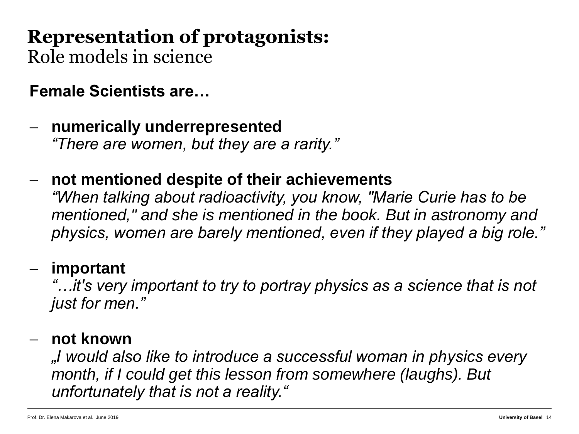Role models in science

**Female Scientists are…**

- − **numerically underrepresented** *"There are women, but they are a rarity."*
- − **not mentioned despite of their achievements** *"When talking about radioactivity, you know, "Marie Curie has to be mentioned," and she is mentioned in the book. But in astronomy and physics, women are barely mentioned, even if they played a big role."*

### − **important**

*"…it's very important to try to portray physics as a science that is not just for men."*

### − **not known**

*"I would also like to introduce a successful woman in physics every month, if I could get this lesson from somewhere (laughs). But unfortunately that is not a reality."*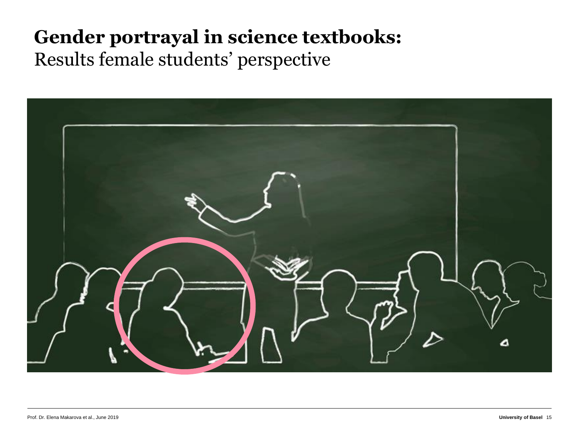## **Gender portrayal in science textbooks:**  Results female students' perspective

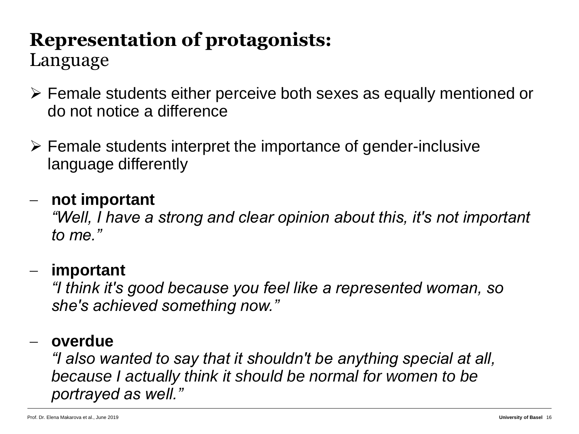Language

- ➢ Female students either perceive both sexes as equally mentioned or do not notice a difference
- ➢ Female students interpret the importance of gender-inclusive language differently

### − **not important**

*"Well, I have a strong and clear opinion about this, it's not important to me."*

### − **important**

*"I think it's good because you feel like a represented woman, so she's achieved something now."*

#### − **overdue**

*"I also wanted to say that it shouldn't be anything special at all, because I actually think it should be normal for women to be portrayed as well."*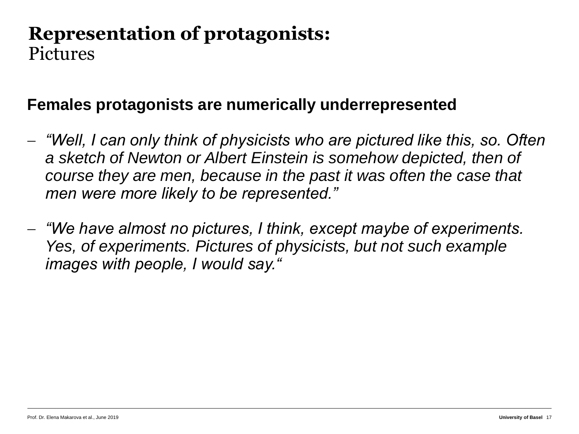### **Representation of protagonists:**  Pictures

### **Females protagonists are numerically underrepresented**

- − *"Well, I can only think of physicists who are pictured like this, so. Often a sketch of Newton or Albert Einstein is somehow depicted, then of course they are men, because in the past it was often the case that men were more likely to be represented."*
- − *"We have almost no pictures, I think, except maybe of experiments. Yes, of experiments. Pictures of physicists, but not such example images with people, I would say."*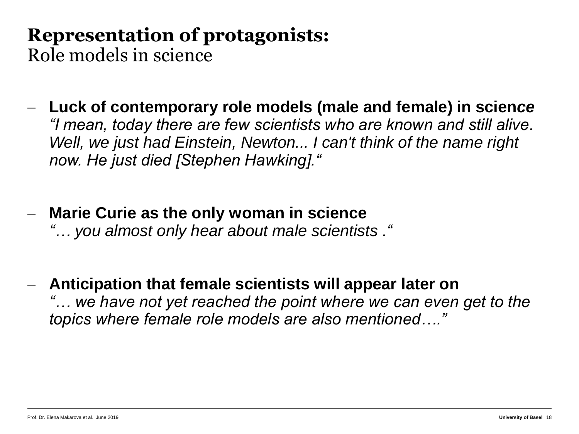Role models in science

- − **Luck of contemporary role models (male and female) in scien***ce "I mean, today there are few scientists who are known and still alive. Well, we just had Einstein, Newton... I can't think of the name right now. He just died [Stephen Hawking]."*
- − **Marie Curie as the only woman in science** *"… you almost only hear about male scientists ."*
- − **Anticipation that female scientists will appear later on** *"… we have not yet reached the point where we can even get to the topics where female role models are also mentioned…."*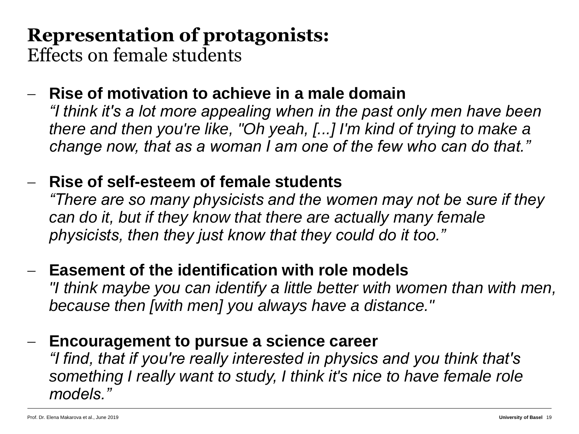Effects on female students

### − **Rise of motivation to achieve in a male domain**

*"I think it's a lot more appealing when in the past only men have been there and then you're like, "Oh yeah, [...] I'm kind of trying to make a change now, that as a woman I am one of the few who can do that."*

### − **Rise of self-esteem of female students**

*"There are so many physicists and the women may not be sure if they can do it, but if they know that there are actually many female physicists, then they just know that they could do it too."*

### − **Easement of the identification with role models**

*"I think maybe you can identify a little better with women than with men, because then [with men] you always have a distance."*

### − **Encouragement to pursue a science career**

*"I find, that if you're really interested in physics and you think that's something I really want to study, I think it's nice to have female role models."*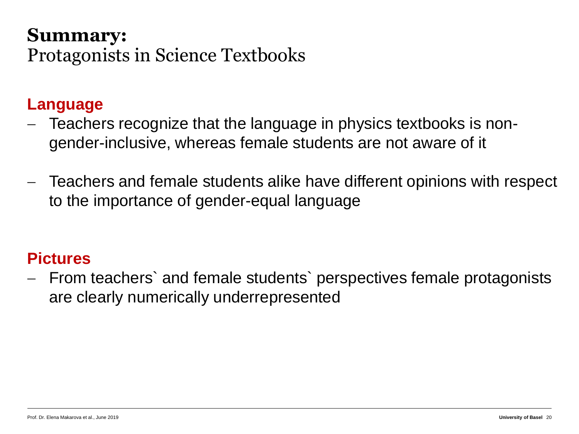### **Summary:**  Protagonists in Science Textbooks

#### **Language**

- − Teachers recognize that the language in physics textbooks is nongender-inclusive, whereas female students are not aware of it
- − Teachers and female students alike have different opinions with respect to the importance of gender-equal language

#### **Pictures**

− From teachers` and female students` perspectives female protagonists are clearly numerically underrepresented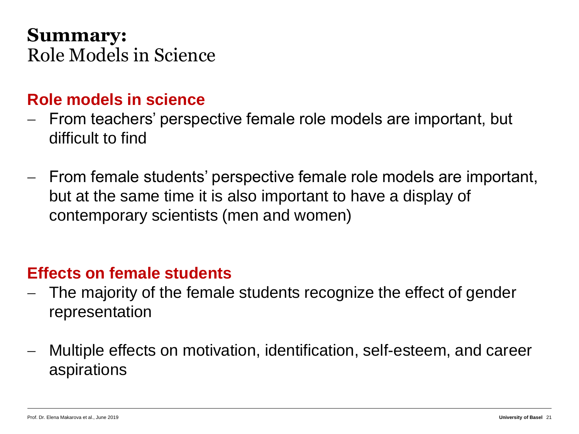### **Summary:**  Role Models in Science

### **Role models in science**

- − From teachers' perspective female role models are important, but difficult to find
- − From female students' perspective female role models are important, but at the same time it is also important to have a display of contemporary scientists (men and women)

### **Effects on female students**

- − The majority of the female students recognize the effect of gender representation
- − Multiple effects on motivation, identification, self-esteem, and career aspirations